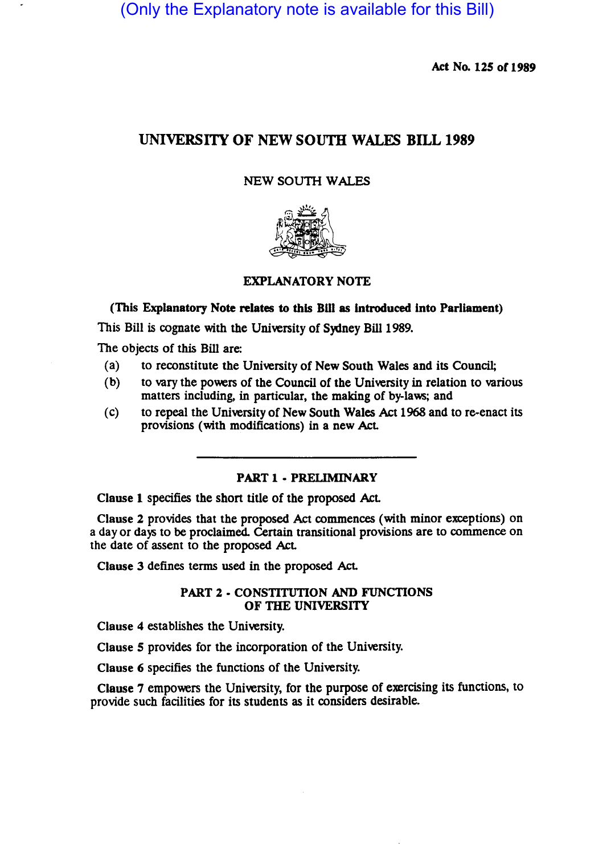(Only the Explanatory note is available for this Bill)

Act No. 125 of 1989

# UNIVERSITY OF NEW SOUTH WALES BILL 1989

### NEW SOUTH WALES



(This Explanatory Note relates to this BlII as introduced into Parliament)

This Bill is cognate with the University of Sydney Bill 1989.

The objects of this Bill are:

- (a) to reconstitute the University of New South Wales and its Council;
- (b) to vary the powers of the Council of the University in relation to various matters including, in particular, the making of by-laws; and
- (c) to repeal the University of New South Wales Act 1968 and to re-enact its provisions (with modifications) in a new Act

PART 1 - PRELIMINARY

Clause 1 specifies the short title of the proposed Act

Clause 2 provides that the proposed Act commences (with minor exceptions) on a day or days to be proclaimed. Certain transitional provisions are to commence on the date of assent to the proposed Act

Clause 3 defines terms used in the proposed Act

#### PART 2· CONSTITUTION AND FUNCTIONS OF THE UNIVERSITY

Clause 4 establishes the University.

Clause 5 provides for the incorporation of the University.

Clause 6 specifies the functions of the University.

Clause 7 empowers the University, for the purpose of exercising its functions, to provide such facilities for its students as it considers desirable.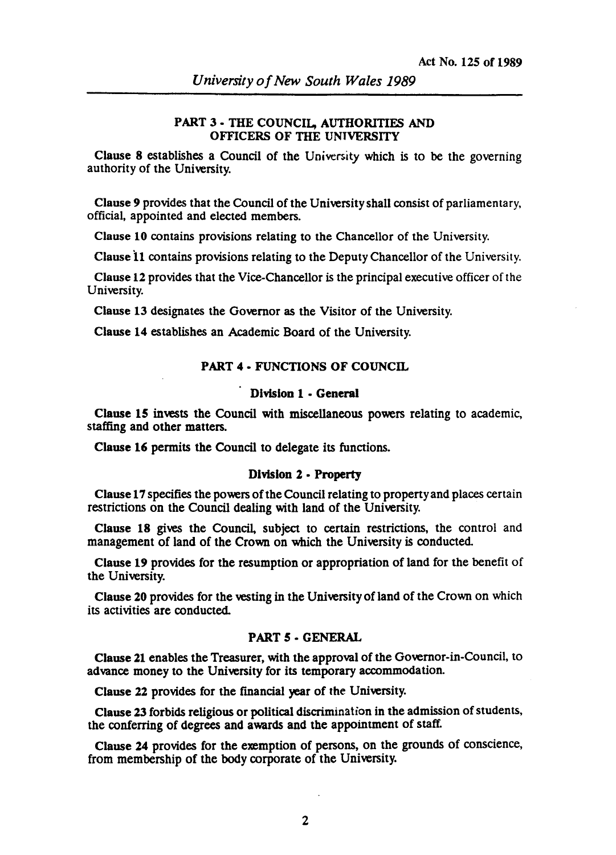# PART 3 • THE COUNCIL, AUTHORITIES AND OFFICERS OF THE UNIVERSITY

Clause 8 establishes a Council of the University which is to be the governing authority of the University.

Clause 9 provides that the Council of the University shall consist of parliamentary. official, appointed and elected members.

Clause 10 contains provisions relating to the Chancellor of the University.

Clause 11 contains provisions relating to the Deputy Chancellor of the University.

Clause 12 provides that the Vice-Chancellor is the principal executive officer of the University.

Clause 13 designates the Governor as the Visitor of the University.

Clause 14 establishes an Academic Board of the University.

# PART 4 - FUNCTIONS OF COUNCIL

### Division 1 - General

Clause 15 invests the Council with miscellaneous powers relating to academic, staffing and other matters.

Clause 16 permits the Council to delegate its functions.

#### Division 2 - Property

Clause 17 specifies the powers of the Council relating to propenyand places certain restrictions on the Council dealing with land of the University.

Clause 18 gives the Council, subject to certain restrictions, the control and management of land of the Crown on which the University is conducted.

Clause 19 provides for the resumption or appropriation of land for the benefit of the University.

Clause 20 provides for the vesting in the University of land of the Crown on which its activities are conducted.

# PART 5 • GENERAL

Clause 21 enables the Treasurer, with the approval of the Governor-in-Council, to advance money to the University for its temporary accommodation.

Clause 22 provides for the financial year of the University.

Clause 23 forbids religious or political discrimination in the admission of students, the conferring of degrees and awards and the appointment of staff.

Clause 24 provides for the exemption of persons, on the grounds of conscience, from membership of the body corporate of the University.